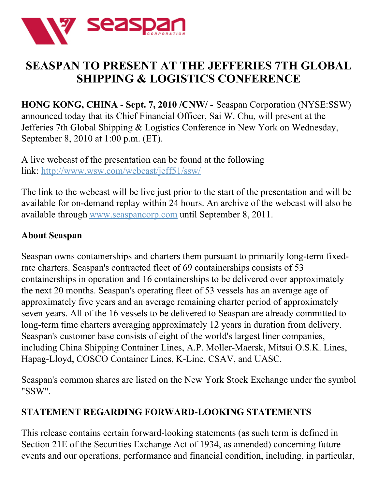

## **SEASPAN TO PRESENT AT THE JEFFERIES 7TH GLOBAL SHIPPING & LOGISTICS CONFERENCE**

**HONG KONG, CHINA - Sept. 7, 2010 /CNW/ -** Seaspan Corporation (NYSE:SSW) announced today that its Chief Financial Officer, Sai W. Chu, will present at the Jefferies 7th Global Shipping & Logistics Conference in New York on Wednesday, September 8, 2010 at 1:00 p.m. (ET).

A live webcast of the presentation can be found at the following link: <http://www.wsw.com/webcast/jeff51/ssw/>

The link to the webcast will be live just prior to the start of the presentation and will be available for on-demand replay within 24 hours. An archive of the webcast will also be available through [www.seaspancorp.com](http://www.seaspancorp.com/) until September 8, 2011.

## **About Seaspan**

Seaspan owns containerships and charters them pursuant to primarily long-term fixedrate charters. Seaspan's contracted fleet of 69 containerships consists of 53 containerships in operation and 16 containerships to be delivered over approximately the next 20 months. Seaspan's operating fleet of 53 vessels has an average age of approximately five years and an average remaining charter period of approximately seven years. All of the 16 vessels to be delivered to Seaspan are already committed to long-term time charters averaging approximately 12 years in duration from delivery. Seaspan's customer base consists of eight of the world's largest liner companies, including China Shipping Container Lines, A.P. Moller-Maersk, Mitsui O.S.K. Lines, Hapag-Lloyd, COSCO Container Lines, K-Line, CSAV, and UASC.

Seaspan's common shares are listed on the New York Stock Exchange under the symbol "SSW".

## **STATEMENT REGARDING FORWARD-LOOKING STATEMENTS**

This release contains certain forward-looking statements (as such term is defined in Section 21E of the Securities Exchange Act of 1934, as amended) concerning future events and our operations, performance and financial condition, including, in particular,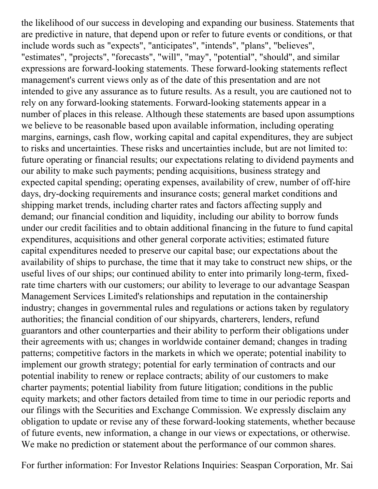the likelihood of our success in developing and expanding our business. Statements that are predictive in nature, that depend upon or refer to future events or conditions, or that include words such as "expects", "anticipates", "intends", "plans", "believes", "estimates", "projects", "forecasts", "will", "may", "potential", "should", and similar expressions are forward-looking statements. These forward-looking statements reflect management's current views only as of the date of this presentation and are not intended to give any assurance as to future results. As a result, you are cautioned not to rely on any forward-looking statements. Forward-looking statements appear in a number of places in this release. Although these statements are based upon assumptions we believe to be reasonable based upon available information, including operating margins, earnings, cash flow, working capital and capital expenditures, they are subject to risks and uncertainties. These risks and uncertainties include, but are not limited to: future operating or financial results; our expectations relating to dividend payments and our ability to make such payments; pending acquisitions, business strategy and expected capital spending; operating expenses, availability of crew, number of off-hire days, dry-docking requirements and insurance costs; general market conditions and shipping market trends, including charter rates and factors affecting supply and demand; our financial condition and liquidity, including our ability to borrow funds under our credit facilities and to obtain additional financing in the future to fund capital expenditures, acquisitions and other general corporate activities; estimated future capital expenditures needed to preserve our capital base; our expectations about the availability of ships to purchase, the time that it may take to construct new ships, or the useful lives of our ships; our continued ability to enter into primarily long-term, fixedrate time charters with our customers; our ability to leverage to our advantage Seaspan Management Services Limited's relationships and reputation in the containership industry; changes in governmental rules and regulations or actions taken by regulatory authorities; the financial condition of our shipyards, charterers, lenders, refund guarantors and other counterparties and their ability to perform their obligations under their agreements with us; changes in worldwide container demand; changes in trading patterns; competitive factors in the markets in which we operate; potential inability to implement our growth strategy; potential for early termination of contracts and our potential inability to renew or replace contracts; ability of our customers to make charter payments; potential liability from future litigation; conditions in the public equity markets; and other factors detailed from time to time in our periodic reports and our filings with the Securities and Exchange Commission. We expressly disclaim any obligation to update or revise any of these forward-looking statements, whether because of future events, new information, a change in our views or expectations, or otherwise. We make no prediction or statement about the performance of our common shares.

For further information: For Investor Relations Inquiries: Seaspan Corporation, Mr. Sai